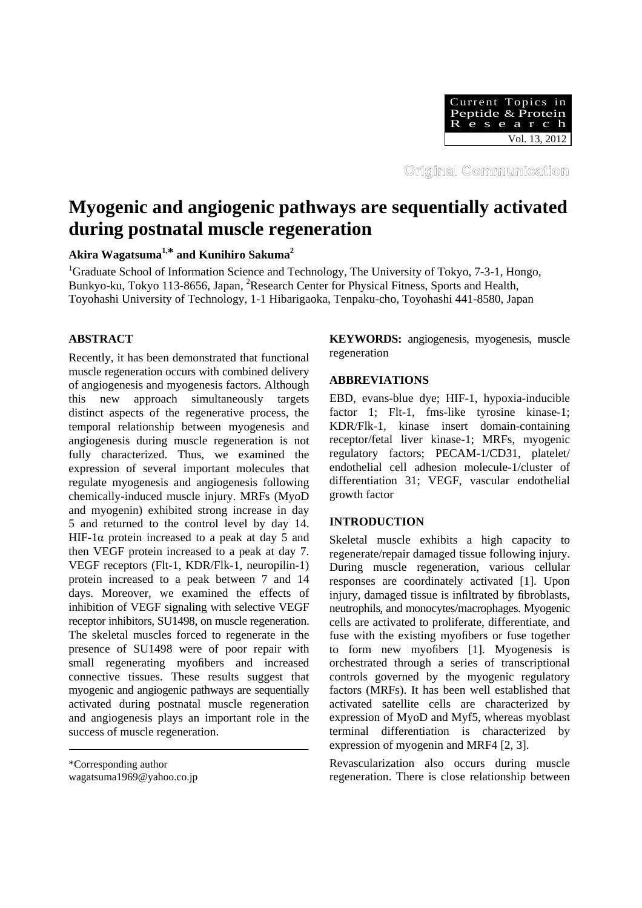

Original Communication

# **Myogenic and angiogenic pathways are sequentially activated during postnatal muscle regeneration**

**Akira Wagatsuma1,\* and Kunihiro Sakuma2**

<sup>1</sup>Graduate School of Information Science and Technology, The University of Tokyo, 7-3-1, Hongo, Bunkyo-ku, Tokyo 113-8656, Japan, <sup>2</sup>Research Center for Physical Fitness, Sports and Health, Toyohashi University of Technology, 1-1 Hibarigaoka, Tenpaku-cho, Toyohashi 441-8580, Japan

# **ABSTRACT**

Recently, it has been demonstrated that functional muscle regeneration occurs with combined delivery of angiogenesis and myogenesis factors. Although this new approach simultaneously targets distinct aspects of the regenerative process, the temporal relationship between myogenesis and angiogenesis during muscle regeneration is not fully characterized. Thus, we examined the expression of several important molecules that regulate myogenesis and angiogenesis following chemically-induced muscle injury. MRFs (MyoD and myogenin) exhibited strong increase in day 5 and returned to the control level by day 14. HIF-1 $\alpha$  protein increased to a peak at day 5 and then VEGF protein increased to a peak at day 7. VEGF receptors (Flt-1, KDR/Flk-1, neuropilin-1) protein increased to a peak between 7 and 14 days. Moreover, we examined the effects of inhibition of VEGF signaling with selective VEGF receptor inhibitors, SU1498, on muscle regeneration. The skeletal muscles forced to regenerate in the presence of SU1498 were of poor repair with small regenerating myofibers and increased connective tissues. These results suggest that myogenic and angiogenic pathways are sequentially activated during postnatal muscle regeneration and angiogenesis plays an important role in the success of muscle regeneration.

**KEYWORDS:** angiogenesis, myogenesis, muscle regeneration

## **ABBREVIATIONS**

EBD, evans-blue dye; HIF-1, hypoxia-inducible factor 1; Flt-1, fms-like tyrosine kinase-1; KDR/Flk-1, kinase insert domain-containing receptor/fetal liver kinase-1; MRFs, myogenic regulatory factors; PECAM-1/CD31, platelet/ endothelial cell adhesion molecule-1/cluster of differentiation 31; VEGF, vascular endothelial growth factor

## **INTRODUCTION**

Skeletal muscle exhibits a high capacity to regenerate/repair damaged tissue following injury. During muscle regeneration, various cellular responses are coordinately activated [1]. Upon injury, damaged tissue is infiltrated by fibroblasts, neutrophils, and monocytes/macrophages. Myogenic cells are activated to proliferate, differentiate, and fuse with the existing myofibers or fuse together to form new myofibers [1]. Myogenesis is orchestrated through a series of transcriptional controls governed by the myogenic regulatory factors (MRFs). It has been well established that activated satellite cells are characterized by expression of MyoD and Myf5, whereas myoblast terminal differentiation is characterized by expression of myogenin and MRF4 [2, 3].

Revascularization also occurs during muscle regeneration. There is close relationship between

<sup>\*</sup>Corresponding author

wagatsuma1969@yahoo.co.jp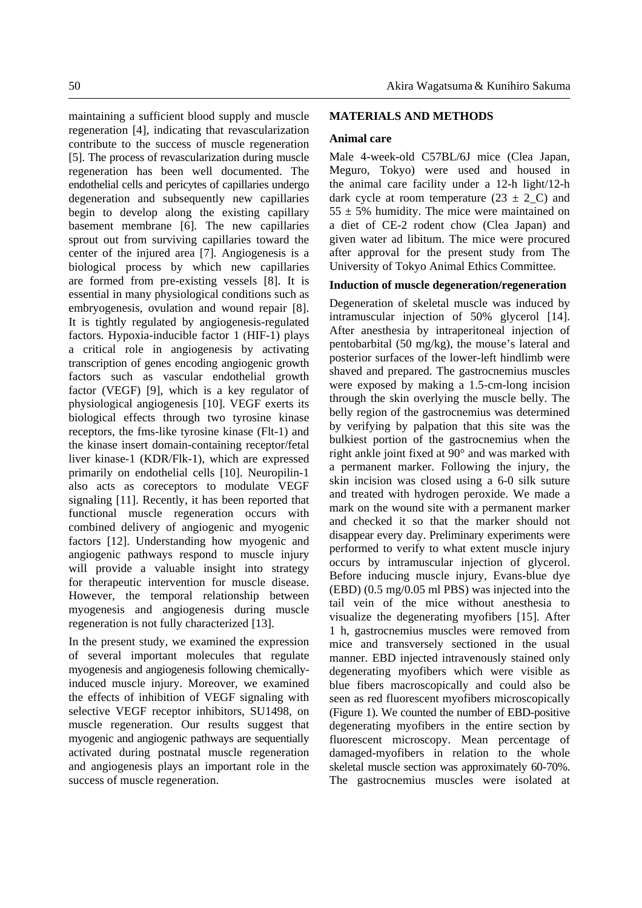maintaining a sufficient blood supply and muscle regeneration [4], indicating that revascularization contribute to the success of muscle regeneration [5]. The process of revascularization during muscle regeneration has been well documented. The endothelial cells and pericytes of capillaries undergo degeneration and subsequently new capillaries begin to develop along the existing capillary basement membrane [6]. The new capillaries sprout out from surviving capillaries toward the center of the injured area [7]. Angiogenesis is a biological process by which new capillaries are formed from pre-existing vessels [8]. It is essential in many physiological conditions such as embryogenesis, ovulation and wound repair [8]. It is tightly regulated by angiogenesis-regulated factors. Hypoxia-inducible factor 1 (HIF-1) plays a critical role in angiogenesis by activating transcription of genes encoding angiogenic growth factors such as vascular endothelial growth factor (VEGF) [9], which is a key regulator of physiological angiogenesis [10]. VEGF exerts its biological effects through two tyrosine kinase receptors, the fms-like tyrosine kinase (Flt-1) and the kinase insert domain-containing receptor/fetal liver kinase-1 (KDR/Flk-1), which are expressed primarily on endothelial cells [10]. Neuropilin-1 also acts as coreceptors to modulate VEGF signaling [11]. Recently, it has been reported that functional muscle regeneration occurs with combined delivery of angiogenic and myogenic factors [12]. Understanding how myogenic and angiogenic pathways respond to muscle injury will provide a valuable insight into strategy for therapeutic intervention for muscle disease. However, the temporal relationship between myogenesis and angiogenesis during muscle regeneration is not fully characterized [13].

In the present study, we examined the expression of several important molecules that regulate myogenesis and angiogenesis following chemicallyinduced muscle injury. Moreover, we examined the effects of inhibition of VEGF signaling with selective VEGF receptor inhibitors, SU1498, on muscle regeneration. Our results suggest that myogenic and angiogenic pathways are sequentially activated during postnatal muscle regeneration and angiogenesis plays an important role in the success of muscle regeneration.

# **MATERIALS AND METHODS**

#### **Animal care**

Male 4-week-old C57BL/6J mice (Clea Japan, Meguro, Tokyo) were used and housed in the animal care facility under a 12-h light/12-h dark cycle at room temperature  $(23 \pm 2 \text{ C})$  and  $55 \pm 5\%$  humidity. The mice were maintained on a diet of CE-2 rodent chow (Clea Japan) and given water ad libitum. The mice were procured after approval for the present study from The University of Tokyo Animal Ethics Committee.

## **Induction of muscle degeneration/regeneration**

Degeneration of skeletal muscle was induced by intramuscular injection of 50% glycerol [14]. After anesthesia by intraperitoneal injection of pentobarbital (50 mg/kg), the mouse's lateral and posterior surfaces of the lower-left hindlimb were shaved and prepared. The gastrocnemius muscles were exposed by making a 1.5-cm-long incision through the skin overlying the muscle belly. The belly region of the gastrocnemius was determined by verifying by palpation that this site was the bulkiest portion of the gastrocnemius when the right ankle joint fixed at 90° and was marked with a permanent marker. Following the injury, the skin incision was closed using a 6-0 silk suture and treated with hydrogen peroxide. We made a mark on the wound site with a permanent marker and checked it so that the marker should not disappear every day. Preliminary experiments were performed to verify to what extent muscle injury occurs by intramuscular injection of glycerol. Before inducing muscle injury, Evans-blue dye (EBD) (0.5 mg/0.05 ml PBS) was injected into the tail vein of the mice without anesthesia to visualize the degenerating myofibers [15]. After 1 h, gastrocnemius muscles were removed from mice and transversely sectioned in the usual manner. EBD injected intravenously stained only degenerating myofibers which were visible as blue fibers macroscopically and could also be seen as red fluorescent myofibers microscopically (Figure 1). We counted the number of EBD-positive degenerating myofibers in the entire section by fluorescent microscopy. Mean percentage of damaged-myofibers in relation to the whole skeletal muscle section was approximately 60-70%. The gastrocnemius muscles were isolated at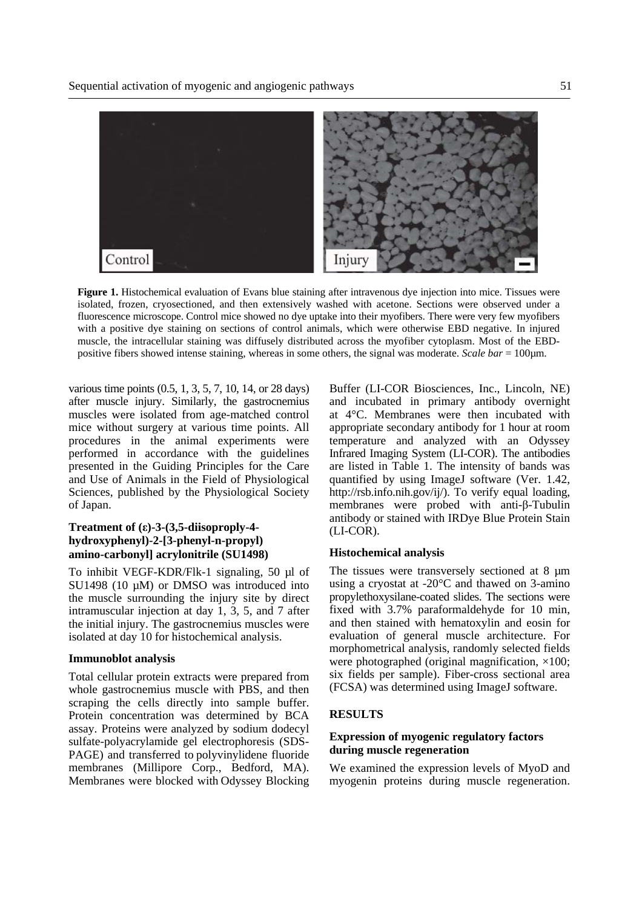

**Figure 1.** Histochemical evaluation of Evans blue staining after intravenous dye injection into mice. Tissues were isolated, frozen, cryosectioned, and then extensively washed with acetone. Sections were observed under a fluorescence microscope. Control mice showed no dye uptake into their myofibers. There were very few myofibers with a positive dye staining on sections of control animals, which were otherwise EBD negative. In injured muscle, the intracellular staining was diffusely distributed across the myofiber cytoplasm. Most of the EBDpositive fibers showed intense staining, whereas in some others, the signal was moderate. *Scale bar* = 100µm.

various time points (0.5, 1, 3, 5, 7, 10, 14, or 28 days) after muscle injury. Similarly, the gastrocnemius muscles were isolated from age-matched control mice without surgery at various time points. All procedures in the animal experiments were performed in accordance with the guidelines presented in the Guiding Principles for the Care and Use of Animals in the Field of Physiological Sciences, published by the Physiological Society of Japan.

# **Treatment of (ε)-3-(3,5-diisoproply-4 hydroxyphenyl)-2-[3-phenyl-n-propyl) amino-carbonyl] acrylonitrile (SU1498)**

To inhibit VEGF-KDR/Flk-1 signaling, 50 µl of SU1498 (10 uM) or DMSO was introduced into the muscle surrounding the injury site by direct intramuscular injection at day 1, 3, 5, and 7 after the initial injury. The gastrocnemius muscles were isolated at day 10 for histochemical analysis.

#### **Immunoblot analysis**

Total cellular protein extracts were prepared from whole gastrocnemius muscle with PBS, and then scraping the cells directly into sample buffer. Protein concentration was determined by BCA assay. Proteins were analyzed by sodium dodecyl sulfate-polyacrylamide gel electrophoresis (SDS-PAGE) and transferred to polyvinylidene fluoride membranes (Millipore Corp., Bedford, MA). Membranes were blocked with Odyssey Blocking Buffer (LI-COR Biosciences, Inc., Lincoln, NE) and incubated in primary antibody overnight at 4°C. Membranes were then incubated with appropriate secondary antibody for 1 hour at room temperature and analyzed with an Odyssey Infrared Imaging System (LI-COR). The antibodies are listed in Table 1. The intensity of bands was quantified by using ImageJ software (Ver. 1.42, http://rsb.info.nih.gov/ij/). To verify equal loading, membranes were probed with anti-β-Tubulin antibody or stained with IRDye Blue Protein Stain (LI-COR).

#### **Histochemical analysis**

The tissues were transversely sectioned at 8  $\mu$ m using a cryostat at -20°C and thawed on 3-amino propylethoxysilane-coated slides. The sections were fixed with 3.7% paraformaldehyde for 10 min, and then stained with hematoxylin and eosin for evaluation of general muscle architecture. For morphometrical analysis, randomly selected fields were photographed (original magnification,  $\times$ 100; six fields per sample). Fiber-cross sectional area (FCSA) was determined using ImageJ software.

## **RESULTS**

## **Expression of myogenic regulatory factors during muscle regeneration**

We examined the expression levels of MyoD and myogenin proteins during muscle regeneration.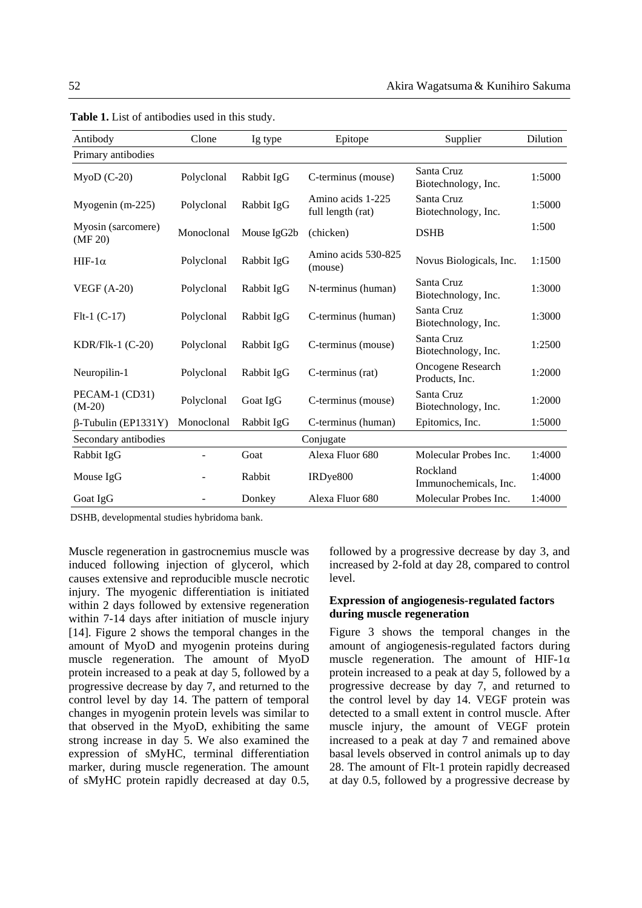| Antibody                          | Clone      | Ig type     | Epitope                                | Supplier                                   | Dilution |
|-----------------------------------|------------|-------------|----------------------------------------|--------------------------------------------|----------|
| Primary antibodies                |            |             |                                        |                                            |          |
| $M$ yoD $(C-20)$                  | Polyclonal | Rabbit IgG  | C-terminus (mouse)                     | Santa Cruz<br>Biotechnology, Inc.          | 1:5000   |
| Myogenin (m-225)                  | Polyclonal | Rabbit IgG  | Amino acids 1-225<br>full length (rat) | Santa Cruz<br>Biotechnology, Inc.          | 1:5000   |
| Myosin (sarcomere)<br>(MF 20)     | Monoclonal | Mouse IgG2b | (chicken)                              | <b>DSHB</b>                                | 1:500    |
| $HIF-1\alpha$                     | Polyclonal | Rabbit IgG  | Amino acids 530-825<br>(mouse)         | Novus Biologicals, Inc.                    | 1:1500   |
| $VEGF(A-20)$                      | Polyclonal | Rabbit IgG  | N-terminus (human)                     | Santa Cruz<br>Biotechnology, Inc.          | 1:3000   |
| $Flt-1(C-17)$                     | Polyclonal | Rabbit IgG  | C-terminus (human)                     | Santa Cruz<br>Biotechnology, Inc.          | 1:3000   |
| KDR/Flk-1 $(C-20)$                | Polyclonal | Rabbit IgG  | C-terminus (mouse)                     | Santa Cruz<br>Biotechnology, Inc.          | 1:2500   |
| Neuropilin-1                      | Polyclonal | Rabbit IgG  | C-terminus (rat)                       | <b>Oncogene Research</b><br>Products, Inc. | 1:2000   |
| PECAM-1 (CD31)<br>$(M-20)$        | Polyclonal | Goat IgG    | C-terminus (mouse)                     | Santa Cruz<br>Biotechnology, Inc.          | 1:2000   |
| $\beta$ -Tubulin (EP1331Y)        | Monoclonal | Rabbit IgG  | C-terminus (human)                     | Epitomics, Inc.                            | 1:5000   |
| Secondary antibodies<br>Conjugate |            |             |                                        |                                            |          |
| Rabbit IgG                        |            | Goat        | Alexa Fluor 680                        | Molecular Probes Inc.                      | 1:4000   |
| Mouse IgG                         |            | Rabbit      | IRDye800                               | Rockland<br>Immunochemicals, Inc.          | 1:4000   |
| Goat IgG                          |            | Donkey      | Alexa Fluor 680                        | Molecular Probes Inc.                      | 1:4000   |

**Table 1.** List of antibodies used in this study.

DSHB, developmental studies hybridoma bank.

Muscle regeneration in gastrocnemius muscle was induced following injection of glycerol, which causes extensive and reproducible muscle necrotic injury. The myogenic differentiation is initiated within 2 days followed by extensive regeneration within 7-14 days after initiation of muscle injury [14]. Figure 2 shows the temporal changes in the amount of MyoD and myogenin proteins during muscle regeneration. The amount of MyoD protein increased to a peak at day 5, followed by a progressive decrease by day 7, and returned to the control level by day 14. The pattern of temporal changes in myogenin protein levels was similar to that observed in the MyoD, exhibiting the same strong increase in day 5. We also examined the expression of sMyHC, terminal differentiation marker, during muscle regeneration. The amount of sMyHC protein rapidly decreased at day 0.5, followed by a progressive decrease by day 3, and increased by 2-fold at day 28, compared to control level.

## **Expression of angiogenesis-regulated factors during muscle regeneration**

Figure 3 shows the temporal changes in the amount of angiogenesis-regulated factors during muscle regeneration. The amount of HIF-1 $\alpha$ protein increased to a peak at day 5, followed by a progressive decrease by day 7, and returned to the control level by day 14. VEGF protein was detected to a small extent in control muscle. After muscle injury, the amount of VEGF protein increased to a peak at day 7 and remained above basal levels observed in control animals up to day 28. The amount of Flt-1 protein rapidly decreased at day 0.5, followed by a progressive decrease by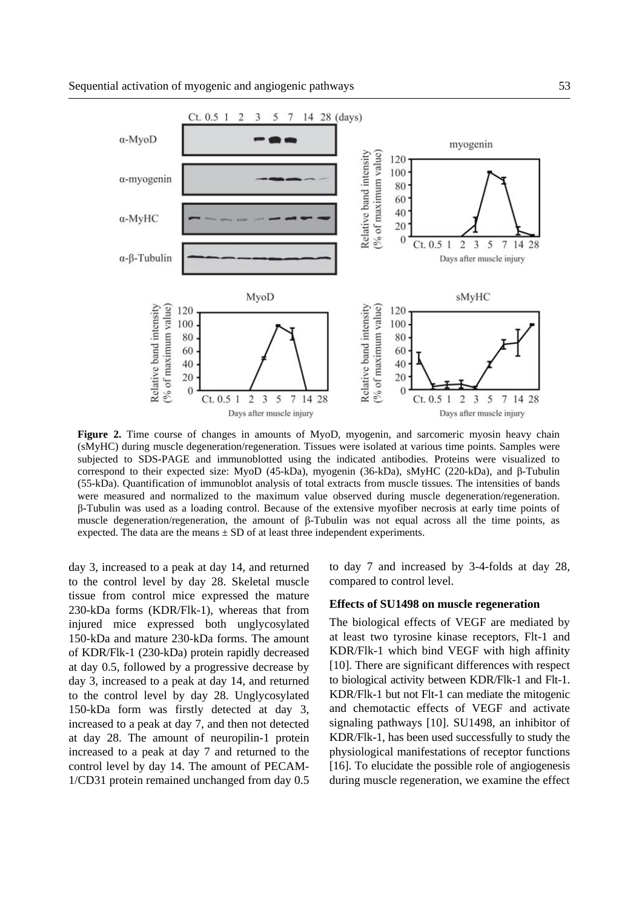

**Figure 2.** Time course of changes in amounts of MyoD, myogenin, and sarcomeric myosin heavy chain (sMyHC) during muscle degeneration/regeneration. Tissues were isolated at various time points. Samples were subjected to SDS-PAGE and immunoblotted using the indicated antibodies. Proteins were visualized to correspond to their expected size: MyoD (45-kDa), myogenin (36-kDa), sMyHC (220-kDa), and β-Tubulin (55-kDa). Quantification of immunoblot analysis of total extracts from muscle tissues. The intensities of bands were measured and normalized to the maximum value observed during muscle degeneration/regeneration. β-Tubulin was used as a loading control. Because of the extensive myofiber necrosis at early time points of muscle degeneration/regeneration, the amount of β-Tubulin was not equal across all the time points, as expected. The data are the means  $\pm$  SD of at least three independent experiments.

day 3, increased to a peak at day 14, and returned to the control level by day 28. Skeletal muscle tissue from control mice expressed the mature 230-kDa forms (KDR/Flk-1), whereas that from injured mice expressed both unglycosylated 150-kDa and mature 230-kDa forms. The amount of KDR/Flk-1 (230-kDa) protein rapidly decreased at day 0.5, followed by a progressive decrease by day 3, increased to a peak at day 14, and returned to the control level by day 28. Unglycosylated 150-kDa form was firstly detected at day 3, increased to a peak at day 7, and then not detected at day 28. The amount of neuropilin-1 protein increased to a peak at day 7 and returned to the control level by day 14. The amount of PECAM-1/CD31 protein remained unchanged from day 0.5 to day 7 and increased by 3-4-folds at day 28, compared to control level.

#### **Effects of SU1498 on muscle regeneration**

The biological effects of VEGF are mediated by at least two tyrosine kinase receptors, Flt-1 and KDR/Flk-1 which bind VEGF with high affinity [10]. There are significant differences with respect to biological activity between KDR/Flk-1 and Flt-1. KDR/Flk-1 but not Flt-1 can mediate the mitogenic and chemotactic effects of VEGF and activate signaling pathways [10]. SU1498, an inhibitor of KDR/Flk-1, has been used successfully to study the physiological manifestations of receptor functions [16]. To elucidate the possible role of angiogenesis during muscle regeneration, we examine the effect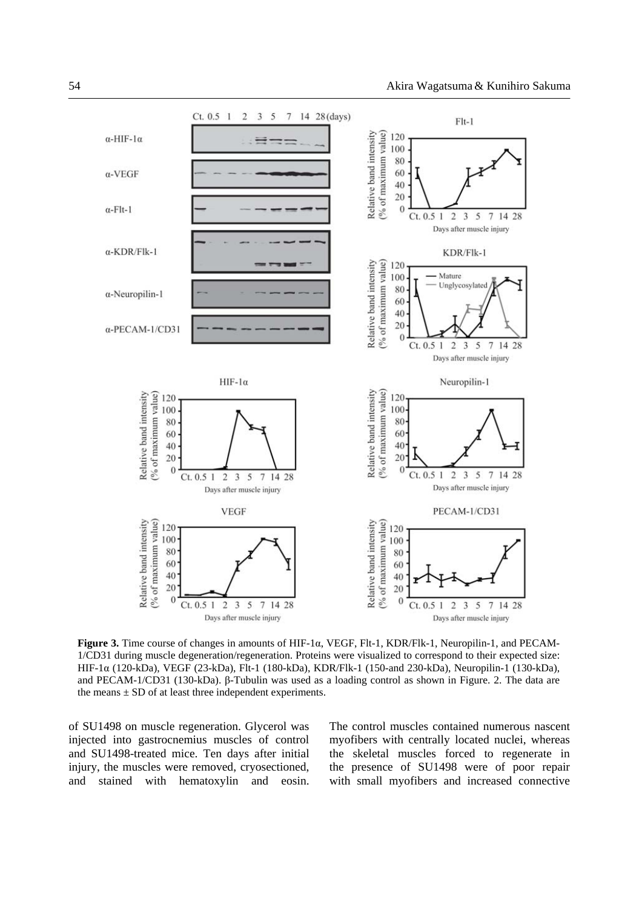

**Figure 3.** Time course of changes in amounts of HIF-1α, VEGF, Flt-1, KDR/Flk-1, Neuropilin-1, and PECAM-1/CD31 during muscle degeneration/regeneration. Proteins were visualized to correspond to their expected size: HIF-1α (120-kDa), VEGF (23-kDa), Flt-1 (180-kDa), KDR/Flk-1 (150-and 230-kDa), Neuropilin-1 (130-kDa), and PECAM-1/CD31 (130-kDa). β-Tubulin was used as a loading control as shown in Figure. 2. The data are the means  $\pm$  SD of at least three independent experiments.

of SU1498 on muscle regeneration. Glycerol was injected into gastrocnemius muscles of control and SU1498-treated mice. Ten days after initial injury, the muscles were removed, cryosectioned, and stained with hematoxylin and eosin. The control muscles contained numerous nascent myofibers with centrally located nuclei, whereas the skeletal muscles forced to regenerate in the presence of SU1498 were of poor repair with small myofibers and increased connective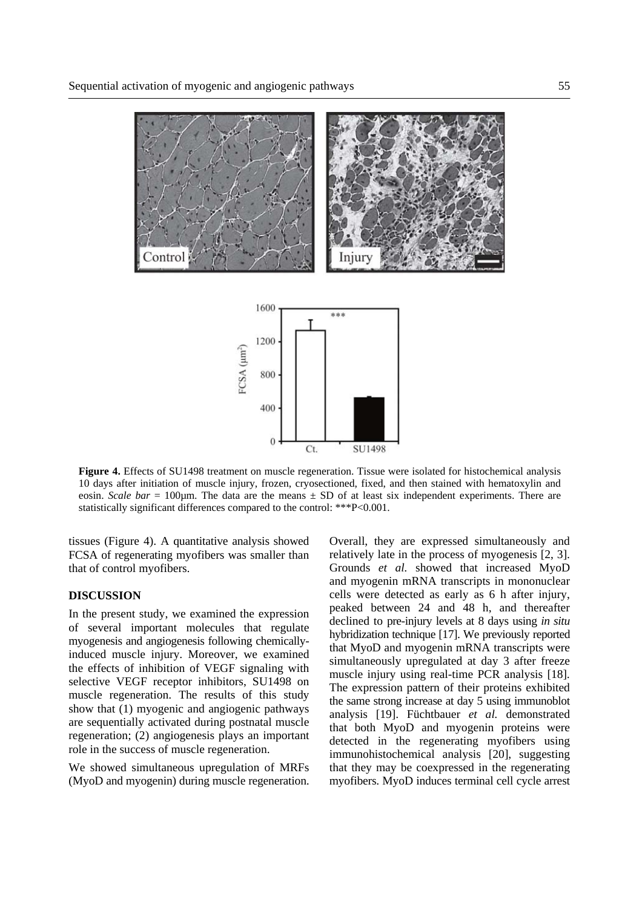

**Figure 4.** Effects of SU1498 treatment on muscle regeneration. Tissue were isolated for histochemical analysis 10 days after initiation of muscle injury, frozen, cryosectioned, fixed, and then stained with hematoxylin and eosin. *Scale bar* = 100µm. The data are the means ± SD of at least six independent experiments. There are statistically significant differences compared to the control: \*\*\*P<0.001.

tissues (Figure 4). A quantitative analysis showed FCSA of regenerating myofibers was smaller than that of control myofibers.

# **DISCUSSION**

In the present study, we examined the expression of several important molecules that regulate myogenesis and angiogenesis following chemicallyinduced muscle injury. Moreover, we examined the effects of inhibition of VEGF signaling with selective VEGF receptor inhibitors, SU1498 on muscle regeneration. The results of this study show that (1) myogenic and angiogenic pathways are sequentially activated during postnatal muscle regeneration; (2) angiogenesis plays an important role in the success of muscle regeneration.

We showed simultaneous upregulation of MRFs (MyoD and myogenin) during muscle regeneration. Overall, they are expressed simultaneously and relatively late in the process of myogenesis [2, 3]. Grounds *et al.* showed that increased MyoD and myogenin mRNA transcripts in mononuclear cells were detected as early as 6 h after injury, peaked between 24 and 48 h, and thereafter declined to pre-injury levels at 8 days using *in situ* hybridization technique [17]. We previously reported that MyoD and myogenin mRNA transcripts were simultaneously upregulated at day 3 after freeze muscle injury using real-time PCR analysis [18]. The expression pattern of their proteins exhibited the same strong increase at day 5 using immunoblot analysis [19]. Füchtbauer *et al.* demonstrated that both MyoD and myogenin proteins were detected in the regenerating myofibers using immunohistochemical analysis [20], suggesting that they may be coexpressed in the regenerating myofibers. MyoD induces terminal cell cycle arrest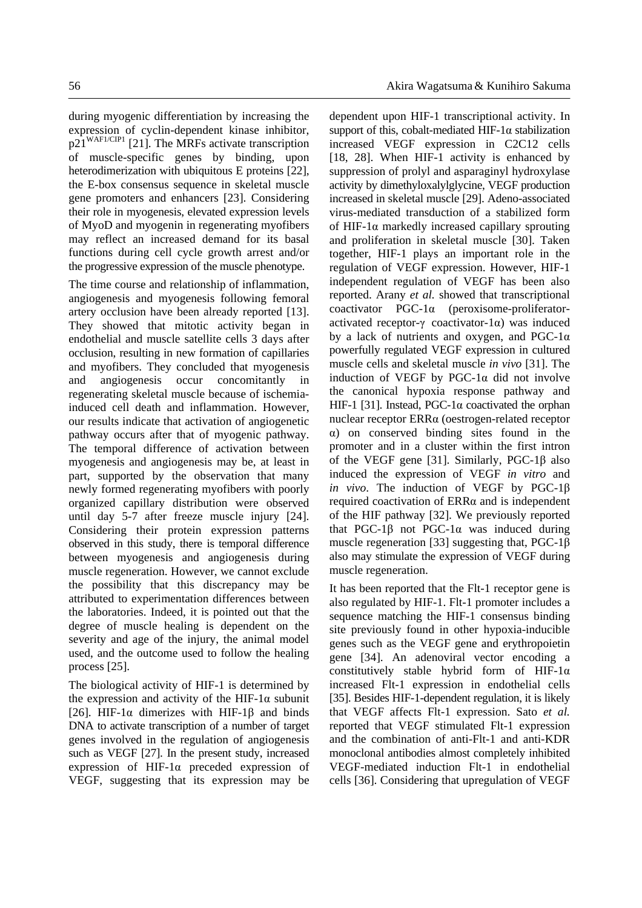during myogenic differentiation by increasing the expression of cyclin-dependent kinase inhibitor,  $p21^{WAF1/CIP1}$  [21]. The MRFs activate transcription of muscle-specific genes by binding, upon heterodimerization with ubiquitous E proteins [22], the E-box consensus sequence in skeletal muscle gene promoters and enhancers [23]. Considering their role in myogenesis, elevated expression levels of MyoD and myogenin in regenerating myofibers may reflect an increased demand for its basal functions during cell cycle growth arrest and/or the progressive expression of the muscle phenotype.

The time course and relationship of inflammation, angiogenesis and myogenesis following femoral artery occlusion have been already reported [13]. They showed that mitotic activity began in endothelial and muscle satellite cells 3 days after occlusion, resulting in new formation of capillaries and myofibers. They concluded that myogenesis and angiogenesis occur concomitantly in regenerating skeletal muscle because of ischemiainduced cell death and inflammation. However, our results indicate that activation of angiogenetic pathway occurs after that of myogenic pathway. The temporal difference of activation between myogenesis and angiogenesis may be, at least in part, supported by the observation that many newly formed regenerating myofibers with poorly organized capillary distribution were observed until day 5-7 after freeze muscle injury [24]. Considering their protein expression patterns observed in this study, there is temporal difference between myogenesis and angiogenesis during muscle regeneration. However, we cannot exclude the possibility that this discrepancy may be attributed to experimentation differences between the laboratories. Indeed, it is pointed out that the degree of muscle healing is dependent on the severity and age of the injury, the animal model used, and the outcome used to follow the healing process [25].

The biological activity of HIF-1 is determined by the expression and activity of the HIF-1 $\alpha$  subunit [26]. HIF-1 $\alpha$  dimerizes with HIF-1 $\beta$  and binds DNA to activate transcription of a number of target genes involved in the regulation of angiogenesis such as VEGF [27]. In the present study, increased expression of HIF-1α preceded expression of VEGF, suggesting that its expression may be dependent upon HIF-1 transcriptional activity. In support of this, cobalt-mediated HIF-1 $\alpha$  stabilization increased VEGF expression in C2C12 cells [18, 28]. When HIF-1 activity is enhanced by suppression of prolyl and asparaginyl hydroxylase activity by dimethyloxalylglycine, VEGF production increased in skeletal muscle [29]. Adeno-associated virus-mediated transduction of a stabilized form of HIF-1 $\alpha$  markedly increased capillary sprouting and proliferation in skeletal muscle [30]. Taken together, HIF-1 plays an important role in the regulation of VEGF expression. However, HIF-1 independent regulation of VEGF has been also reported. Arany *et al.* showed that transcriptional coactivator PGC-1α (peroxisome-proliferatoractivated receptor-γ coactivator-1α) was induced by a lack of nutrients and oxygen, and PGC-1 $\alpha$ powerfully regulated VEGF expression in cultured muscle cells and skeletal muscle *in vivo* [31]. The induction of VEGF by PGC-1α did not involve the canonical hypoxia response pathway and HIF-1 [31]. Instead, PGC-1α coactivated the orphan nuclear receptor ERRα (oestrogen-related receptor α) on conserved binding sites found in the promoter and in a cluster within the first intron of the VEGF gene [31]. Similarly, PGC-1 $\beta$  also induced the expression of VEGF *in vitro* and *in vivo*. The induction of VEGF by PGC-1β required coactivation of ERRα and is independent of the HIF pathway [32]. We previously reported that PGC-1β not PGC-1α was induced during muscle regeneration [33] suggesting that, PGC-1β also may stimulate the expression of VEGF during muscle regeneration.

It has been reported that the Flt-1 receptor gene is also regulated by HIF-1. Flt-1 promoter includes a sequence matching the HIF-1 consensus binding site previously found in other hypoxia-inducible genes such as the VEGF gene and erythropoietin gene [34]. An adenoviral vector encoding a constitutively stable hybrid form of HIF-1α increased Flt-1 expression in endothelial cells [35]. Besides HIF-1-dependent regulation, it is likely that VEGF affects Flt-1 expression. Sato *et al.* reported that VEGF stimulated Flt-1 expression and the combination of anti-Flt-1 and anti-KDR monoclonal antibodies almost completely inhibited VEGF-mediated induction Flt-1 in endothelial cells [36]. Considering that upregulation of VEGF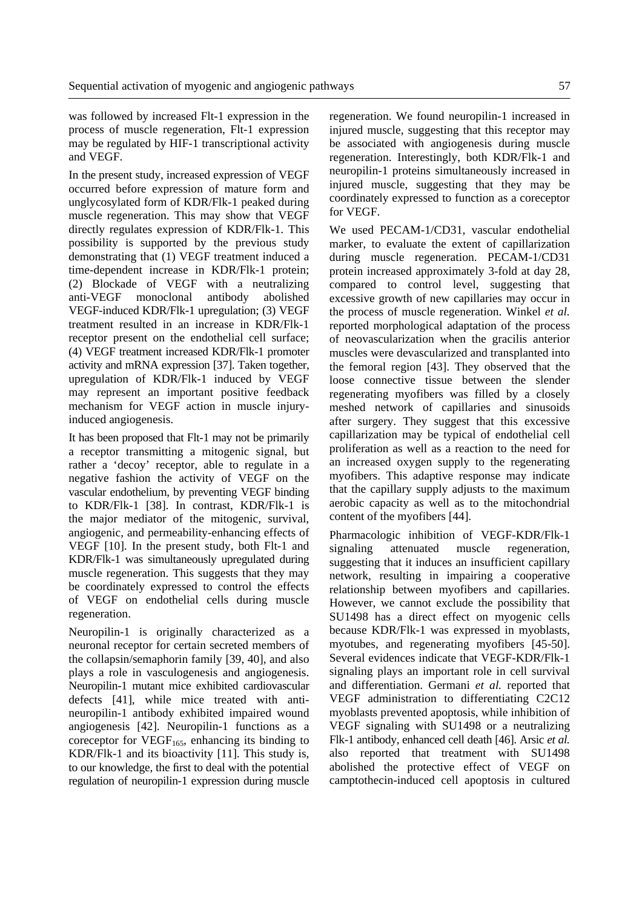was followed by increased Flt-1 expression in the process of muscle regeneration, Flt-1 expression may be regulated by HIF-1 transcriptional activity and VEGF.

In the present study, increased expression of VEGF occurred before expression of mature form and unglycosylated form of KDR/Flk-1 peaked during muscle regeneration. This may show that VEGF directly regulates expression of KDR/Flk-1. This possibility is supported by the previous study demonstrating that (1) VEGF treatment induced a time-dependent increase in KDR/Flk-1 protein; (2) Blockade of VEGF with a neutralizing anti-VEGF monoclonal antibody abolished VEGF-induced KDR/Flk-1 upregulation; (3) VEGF treatment resulted in an increase in KDR/Flk-1 receptor present on the endothelial cell surface; (4) VEGF treatment increased KDR/Flk-1 promoter activity and mRNA expression [37]. Taken together, upregulation of KDR/Flk-1 induced by VEGF may represent an important positive feedback mechanism for VEGF action in muscle injuryinduced angiogenesis.

It has been proposed that Flt-1 may not be primarily a receptor transmitting a mitogenic signal, but rather a 'decoy' receptor, able to regulate in a negative fashion the activity of VEGF on the vascular endothelium, by preventing VEGF binding to KDR/Flk-1 [38]. In contrast, KDR/Flk-1 is the major mediator of the mitogenic, survival, angiogenic, and permeability-enhancing effects of VEGF [10]. In the present study, both Flt-1 and KDR/Flk-1 was simultaneously upregulated during muscle regeneration. This suggests that they may be coordinately expressed to control the effects of VEGF on endothelial cells during muscle regeneration.

Neuropilin-1 is originally characterized as a neuronal receptor for certain secreted members of the collapsin/semaphorin family [39, 40], and also plays a role in vasculogenesis and angiogenesis. Neuropilin-1 mutant mice exhibited cardiovascular defects [41], while mice treated with antineuropilin-1 antibody exhibited impaired wound angiogenesis [42]. Neuropilin-1 functions as a coreceptor for  $VEGF<sub>165</sub>$ , enhancing its binding to KDR/Flk-1 and its bioactivity [11]. This study is, to our knowledge, the first to deal with the potential regulation of neuropilin-1 expression during muscle regeneration. We found neuropilin-1 increased in injured muscle, suggesting that this receptor may be associated with angiogenesis during muscle regeneration. Interestingly, both KDR/Flk-1 and neuropilin-1 proteins simultaneously increased in injured muscle, suggesting that they may be coordinately expressed to function as a coreceptor for VEGF.

We used PECAM-1/CD31, vascular endothelial marker, to evaluate the extent of capillarization during muscle regeneration. PECAM-1/CD31 protein increased approximately 3-fold at day 28, compared to control level, suggesting that excessive growth of new capillaries may occur in the process of muscle regeneration. Winkel *et al.* reported morphological adaptation of the process of neovascularization when the gracilis anterior muscles were devascularized and transplanted into the femoral region [43]. They observed that the loose connective tissue between the slender regenerating myofibers was filled by a closely meshed network of capillaries and sinusoids after surgery. They suggest that this excessive capillarization may be typical of endothelial cell proliferation as well as a reaction to the need for an increased oxygen supply to the regenerating myofibers. This adaptive response may indicate that the capillary supply adjusts to the maximum aerobic capacity as well as to the mitochondrial content of the myofibers [44].

Pharmacologic inhibition of VEGF-KDR/Flk-1 signaling attenuated muscle regeneration, suggesting that it induces an insufficient capillary network, resulting in impairing a cooperative relationship between myofibers and capillaries. However, we cannot exclude the possibility that SU1498 has a direct effect on myogenic cells because KDR/Flk-1 was expressed in myoblasts, myotubes, and regenerating myofibers [45-50]. Several evidences indicate that VEGF-KDR/Flk-1 signaling plays an important role in cell survival and differentiation. Germani *et al.* reported that VEGF administration to differentiating C2C12 myoblasts prevented apoptosis, while inhibition of VEGF signaling with SU1498 or a neutralizing Flk-1 antibody, enhanced cell death [46]. Arsic *et al.*  also reported that treatment with SU1498 abolished the protective effect of VEGF on camptothecin-induced cell apoptosis in cultured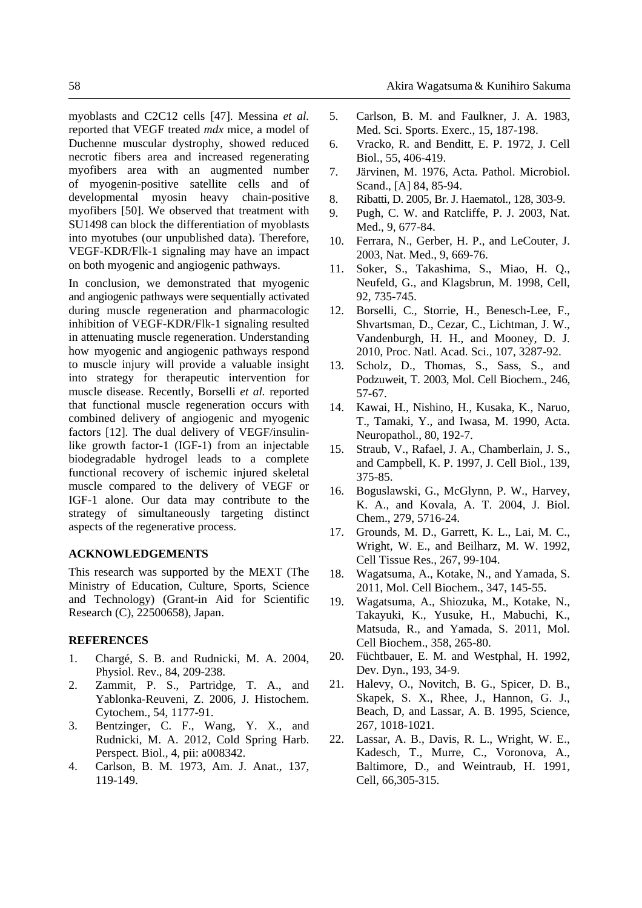myoblasts and C2C12 cells [47]. Messina *et al.* reported that VEGF treated *mdx* mice, a model of Duchenne muscular dystrophy, showed reduced necrotic fibers area and increased regenerating myofibers area with an augmented number of myogenin-positive satellite cells and of developmental myosin heavy chain-positive myofibers [50]. We observed that treatment with SU1498 can block the differentiation of myoblasts into myotubes (our unpublished data). Therefore, VEGF-KDR/Flk-1 signaling may have an impact on both myogenic and angiogenic pathways.

In conclusion, we demonstrated that myogenic and angiogenic pathways were sequentially activated during muscle regeneration and pharmacologic inhibition of VEGF-KDR/Flk-1 signaling resulted in attenuating muscle regeneration. Understanding how myogenic and angiogenic pathways respond to muscle injury will provide a valuable insight into strategy for therapeutic intervention for muscle disease. Recently, Borselli *et al.* reported that functional muscle regeneration occurs with combined delivery of angiogenic and myogenic factors [12]. The dual delivery of VEGF/insulinlike growth factor-1 (IGF-1) from an injectable biodegradable hydrogel leads to a complete functional recovery of ischemic injured skeletal muscle compared to the delivery of VEGF or IGF-1 alone. Our data may contribute to the strategy of simultaneously targeting distinct aspects of the regenerative process.

## **ACKNOWLEDGEMENTS**

This research was supported by the MEXT (The Ministry of Education, Culture, Sports, Science and Technology) (Grant-in Aid for Scientific Research (C), 22500658), Japan.

#### **REFERENCES**

- 1. Chargé, S. B. and Rudnicki, M. A. 2004, Physiol. Rev., 84, 209-238.
- 2. Zammit, P. S., Partridge, T. A., and Yablonka-Reuveni, Z. 2006, J. Histochem. Cytochem., 54, 1177-91.
- 3. Bentzinger, C. F., Wang, Y. X., and Rudnicki, M. A. 2012, Cold Spring Harb. Perspect. Biol., 4, pii: a008342.
- 4. Carlson, B. M. 1973, Am. J. Anat., 137, 119-149.
- 5. Carlson, B. M. and Faulkner, J. A. 1983, Med. Sci. Sports. Exerc., 15, 187-198.
- 6. Vracko, R. and Benditt, E. P. 1972, J. Cell Biol., 55, 406-419.
- 7. Järvinen, M. 1976, Acta. Pathol. Microbiol. Scand., [A] 84, 85-94.
- 8. Ribatti, D. 2005, Br. J. Haematol., 128, 303-9.
- 9. Pugh, C. W. and Ratcliffe, P. J. 2003, Nat. Med., 9, 677-84.
- 10. Ferrara, N., Gerber, H. P., and LeCouter, J. 2003, Nat. Med., 9, 669-76.
- 11. Soker, S., Takashima, S., Miao, H. Q., Neufeld, G., and Klagsbrun, M. 1998, Cell, 92, 735-745.
- 12. Borselli, C., Storrie, H., Benesch-Lee, F., Shvartsman, D., Cezar, C., Lichtman, J. W., Vandenburgh, H. H., and Mooney, D. J. 2010, Proc. Natl. Acad. Sci., 107, 3287-92.
- 13. Scholz, D., Thomas, S., Sass, S., and Podzuweit, T. 2003, Mol. Cell Biochem., 246, 57-67.
- 14. Kawai, H., Nishino, H., Kusaka, K., Naruo, T., Tamaki, Y., and Iwasa, M. 1990, Acta. Neuropathol., 80, 192-7.
- 15. Straub, V., Rafael, J. A., Chamberlain, J. S., and Campbell, K. P. 1997, J. Cell Biol., 139, 375-85.
- 16. Boguslawski, G., McGlynn, P. W., Harvey, K. A., and Kovala, A. T. 2004, J. Biol. Chem., 279, 5716-24.
- 17. Grounds, M. D., Garrett, K. L., Lai, M. C., Wright, W. E., and Beilharz, M. W. 1992, Cell Tissue Res., 267, 99-104.
- 18. Wagatsuma, A., Kotake, N., and Yamada, S. 2011, Mol. Cell Biochem., 347, 145-55.
- 19. Wagatsuma, A., Shiozuka, M., Kotake, N., Takayuki, K., Yusuke, H., Mabuchi, K., Matsuda, R., and Yamada, S. 2011, Mol. Cell Biochem., 358, 265-80.
- 20. Füchtbauer, E. M. and Westphal, H. 1992, Dev. Dyn., 193, 34-9.
- 21. Halevy, O., Novitch, B. G., Spicer, D. B., Skapek, S. X., Rhee, J., Hannon, G. J., Beach, D, and Lassar, A. B. 1995, Science, 267, 1018-1021.
- 22. Lassar, A. B., Davis, R. L., Wright, W. E., Kadesch, T., Murre, C., Voronova, A., Baltimore, D., and Weintraub, H. 1991, Cell, 66,305-315.